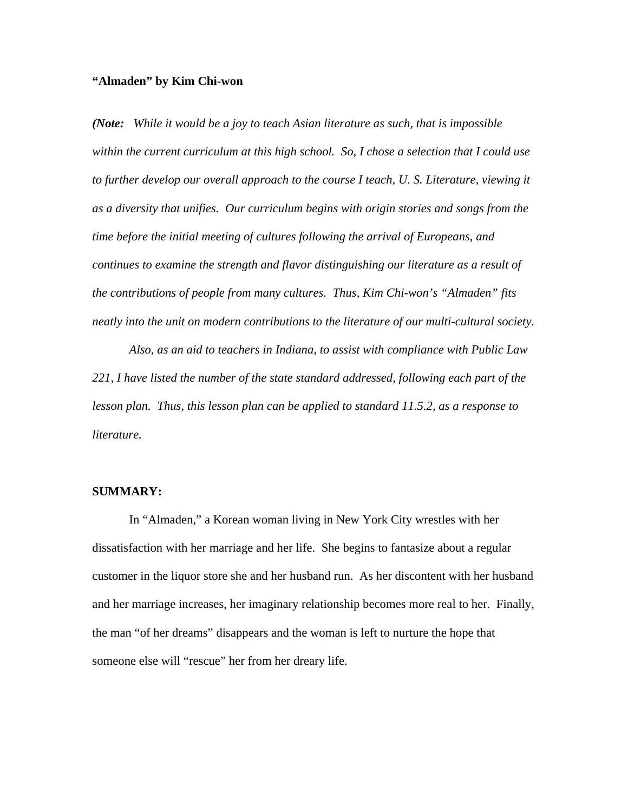## **"Almaden" by Kim Chi-won**

*(Note: While it would be a joy to teach Asian literature as such, that is impossible within the current curriculum at this high school. So, I chose a selection that I could use*  to further develop our overall approach to the course I teach, U. S. Literature, viewing it *as a diversity that unifies. Our curriculum begins with origin stories and songs from the time before the initial meeting of cultures following the arrival of Europeans, and continues to examine the strength and flavor distinguishing our literature as a result of the contributions of people from many cultures. Thus, Kim Chi-won's "Almaden" fits neatly into the unit on modern contributions to the literature of our multi-cultural society.*

*Also, as an aid to teachers in Indiana, to assist with compliance with Public Law 221, I have listed the number of the state standard addressed, following each part of the lesson plan. Thus, this lesson plan can be applied to standard 11.5.2, as a response to literature.*

## **SUMMARY:**

In "Almaden," a Korean woman living in New York City wrestles with her dissatisfaction with her marriage and her life. She begins to fantasize about a regular customer in the liquor store she and her husband run. As her discontent with her husband and her marriage increases, her imaginary relationship becomes more real to her. Finally, the man "of her dreams" disappears and the woman is left to nurture the hope that someone else will "rescue" her from her dreary life.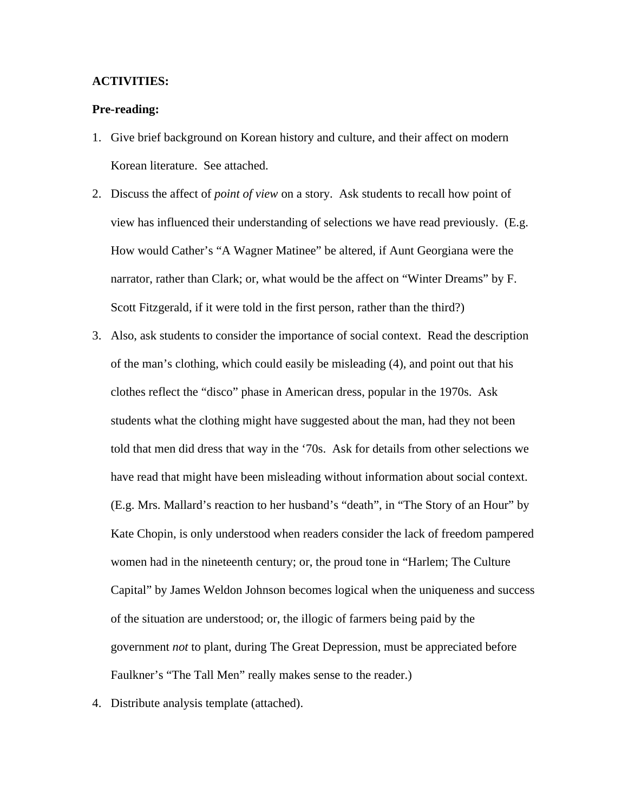#### **ACTIVITIES:**

#### **Pre-reading:**

- 1. Give brief background on Korean history and culture, and their affect on modern Korean literature. See attached.
- 2. Discuss the affect of *point of view* on a story. Ask students to recall how point of view has influenced their understanding of selections we have read previously. (E.g. How would Cather's "A Wagner Matinee" be altered, if Aunt Georgiana were the narrator, rather than Clark; or, what would be the affect on "Winter Dreams" by F. Scott Fitzgerald, if it were told in the first person, rather than the third?)
- 3. Also, ask students to consider the importance of social context. Read the description of the man's clothing, which could easily be misleading (4), and point out that his clothes reflect the "disco" phase in American dress, popular in the 1970s. Ask students what the clothing might have suggested about the man, had they not been told that men did dress that way in the '70s. Ask for details from other selections we have read that might have been misleading without information about social context. (E.g. Mrs. Mallard's reaction to her husband's "death", in "The Story of an Hour" by Kate Chopin, is only understood when readers consider the lack of freedom pampered women had in the nineteenth century; or, the proud tone in "Harlem; The Culture Capital" by James Weldon Johnson becomes logical when the uniqueness and success of the situation are understood; or, the illogic of farmers being paid by the government *not* to plant, during The Great Depression, must be appreciated before Faulkner's "The Tall Men" really makes sense to the reader.)
- 4. Distribute analysis template (attached).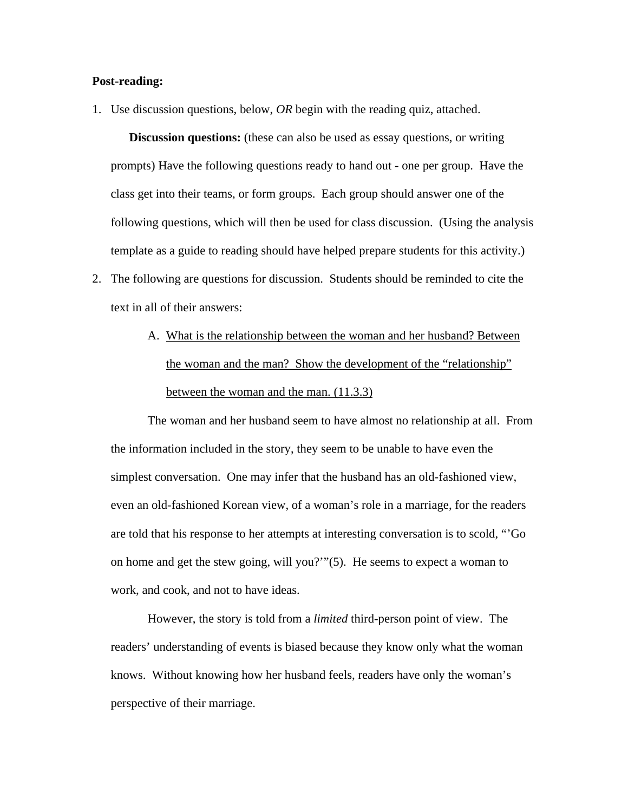#### **Post-reading:**

1. Use discussion questions, below, *OR* begin with the reading quiz, attached.

**Discussion questions:** (these can also be used as essay questions, or writing prompts) Have the following questions ready to hand out - one per group. Have the class get into their teams, or form groups. Each group should answer one of the following questions, which will then be used for class discussion. (Using the analysis template as a guide to reading should have helped prepare students for this activity.)

- 2. The following are questions for discussion. Students should be reminded to cite the text in all of their answers:
	- A. What is the relationship between the woman and her husband? Between the woman and the man? Show the development of the "relationship" between the woman and the man. (11.3.3)

The woman and her husband seem to have almost no relationship at all. From the information included in the story, they seem to be unable to have even the simplest conversation. One may infer that the husband has an old-fashioned view, even an old-fashioned Korean view, of a woman's role in a marriage, for the readers are told that his response to her attempts at interesting conversation is to scold, "'Go on home and get the stew going, will you?'"(5). He seems to expect a woman to work, and cook, and not to have ideas.

However, the story is told from a *limited* third-person point of view. The readers' understanding of events is biased because they know only what the woman knows. Without knowing how her husband feels, readers have only the woman's perspective of their marriage.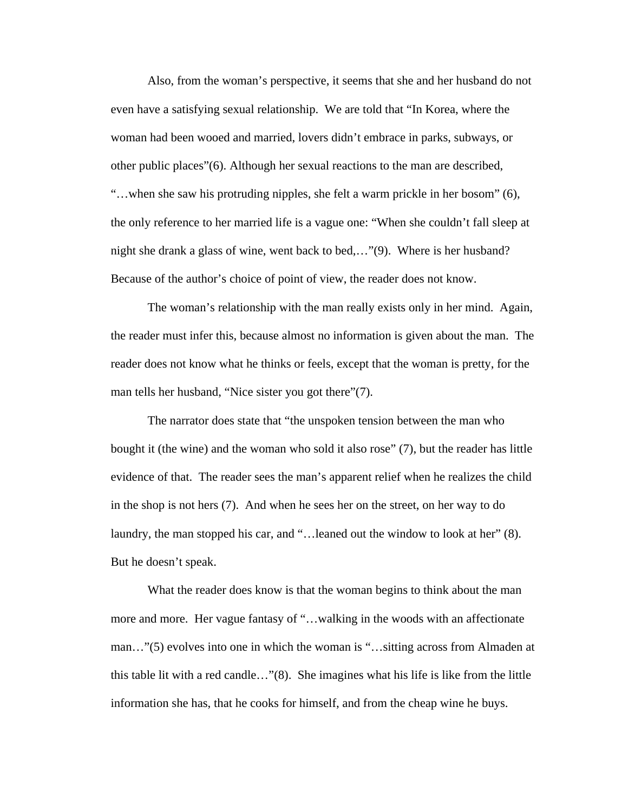Also, from the woman's perspective, it seems that she and her husband do not even have a satisfying sexual relationship. We are told that "In Korea, where the woman had been wooed and married, lovers didn't embrace in parks, subways, or other public places"(6). Although her sexual reactions to the man are described, "…when she saw his protruding nipples, she felt a warm prickle in her bosom" (6), the only reference to her married life is a vague one: "When she couldn't fall sleep at night she drank a glass of wine, went back to bed,…"(9). Where is her husband? Because of the author's choice of point of view, the reader does not know.

The woman's relationship with the man really exists only in her mind. Again, the reader must infer this, because almost no information is given about the man. The reader does not know what he thinks or feels, except that the woman is pretty, for the man tells her husband, "Nice sister you got there"(7).

The narrator does state that "the unspoken tension between the man who bought it (the wine) and the woman who sold it also rose" (7), but the reader has little evidence of that. The reader sees the man's apparent relief when he realizes the child in the shop is not hers (7). And when he sees her on the street, on her way to do laundry, the man stopped his car, and "... leaned out the window to look at her" (8). But he doesn't speak.

What the reader does know is that the woman begins to think about the man more and more. Her vague fantasy of "…walking in the woods with an affectionate man…"(5) evolves into one in which the woman is "…sitting across from Almaden at this table lit with a red candle…"(8). She imagines what his life is like from the little information she has, that he cooks for himself, and from the cheap wine he buys.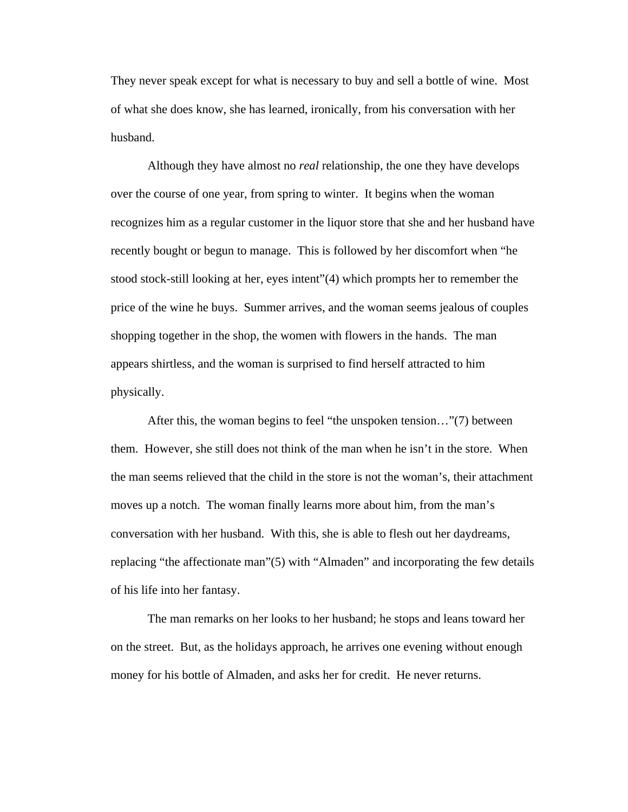They never speak except for what is necessary to buy and sell a bottle of wine. Most of what she does know, she has learned, ironically, from his conversation with her husband.

Although they have almost no *real* relationship, the one they have develops over the course of one year, from spring to winter. It begins when the woman recognizes him as a regular customer in the liquor store that she and her husband have recently bought or begun to manage. This is followed by her discomfort when "he stood stock-still looking at her, eyes intent"(4) which prompts her to remember the price of the wine he buys. Summer arrives, and the woman seems jealous of couples shopping together in the shop, the women with flowers in the hands. The man appears shirtless, and the woman is surprised to find herself attracted to him physically.

After this, the woman begins to feel "the unspoken tension…"(7) between them. However, she still does not think of the man when he isn't in the store. When the man seems relieved that the child in the store is not the woman's, their attachment moves up a notch. The woman finally learns more about him, from the man's conversation with her husband. With this, she is able to flesh out her daydreams, replacing "the affectionate man"(5) with "Almaden" and incorporating the few details of his life into her fantasy.

The man remarks on her looks to her husband; he stops and leans toward her on the street. But, as the holidays approach, he arrives one evening without enough money for his bottle of Almaden, and asks her for credit. He never returns.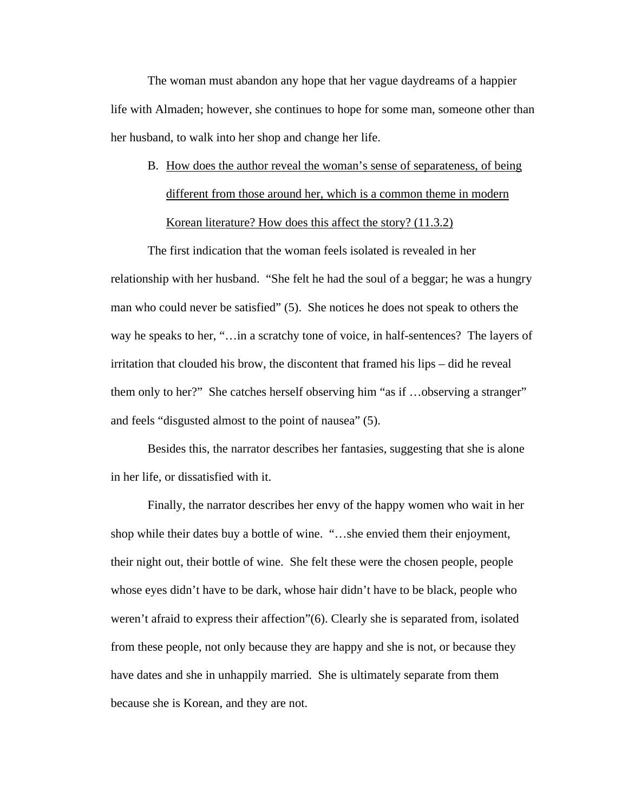The woman must abandon any hope that her vague daydreams of a happier life with Almaden; however, she continues to hope for some man, someone other than her husband, to walk into her shop and change her life.

B. How does the author reveal the woman's sense of separateness, of being different from those around her, which is a common theme in modern Korean literature? How does this affect the story? (11.3.2)

The first indication that the woman feels isolated is revealed in her relationship with her husband. "She felt he had the soul of a beggar; he was a hungry man who could never be satisfied" (5). She notices he does not speak to others the way he speaks to her, "…in a scratchy tone of voice, in half-sentences? The layers of irritation that clouded his brow, the discontent that framed his lips – did he reveal them only to her?" She catches herself observing him "as if …observing a stranger" and feels "disgusted almost to the point of nausea" (5).

Besides this, the narrator describes her fantasies, suggesting that she is alone in her life, or dissatisfied with it.

Finally, the narrator describes her envy of the happy women who wait in her shop while their dates buy a bottle of wine. "…she envied them their enjoyment, their night out, their bottle of wine. She felt these were the chosen people, people whose eyes didn't have to be dark, whose hair didn't have to be black, people who weren't afraid to express their affection"(6). Clearly she is separated from, isolated from these people, not only because they are happy and she is not, or because they have dates and she in unhappily married. She is ultimately separate from them because she is Korean, and they are not.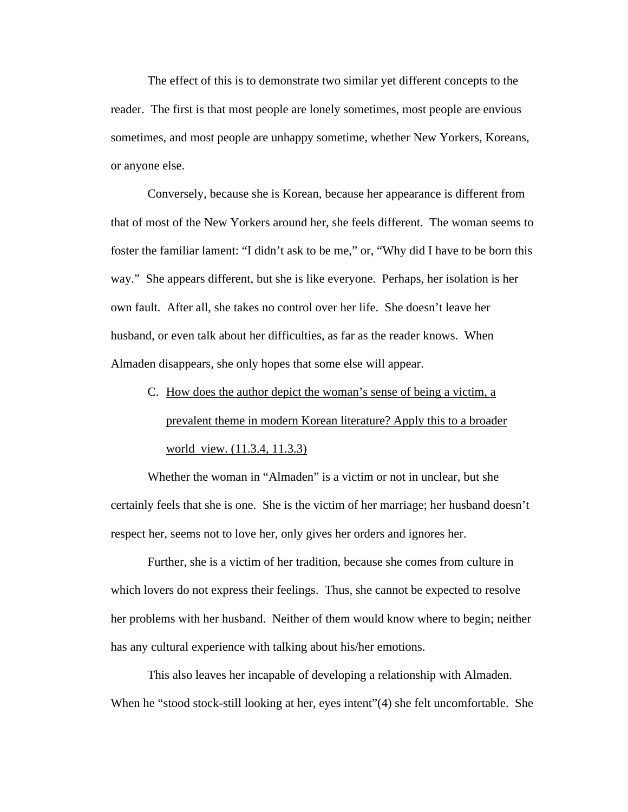The effect of this is to demonstrate two similar yet different concepts to the reader. The first is that most people are lonely sometimes, most people are envious sometimes, and most people are unhappy sometime, whether New Yorkers, Koreans, or anyone else.

Conversely, because she is Korean, because her appearance is different from that of most of the New Yorkers around her, she feels different. The woman seems to foster the familiar lament: "I didn't ask to be me," or, "Why did I have to be born this way." She appears different, but she is like everyone. Perhaps, her isolation is her own fault. After all, she takes no control over her life. She doesn't leave her husband, or even talk about her difficulties, as far as the reader knows. When Almaden disappears, she only hopes that some else will appear.

C. How does the author depict the woman's sense of being a victim, a prevalent theme in modern Korean literature? Apply this to a broader world view. (11.3.4, 11.3.3)

Whether the woman in "Almaden" is a victim or not in unclear, but she certainly feels that she is one. She is the victim of her marriage; her husband doesn't respect her, seems not to love her, only gives her orders and ignores her.

Further, she is a victim of her tradition, because she comes from culture in which lovers do not express their feelings. Thus, she cannot be expected to resolve her problems with her husband. Neither of them would know where to begin; neither has any cultural experience with talking about his/her emotions.

This also leaves her incapable of developing a relationship with Almaden. When he "stood stock-still looking at her, eyes intent"(4) she felt uncomfortable. She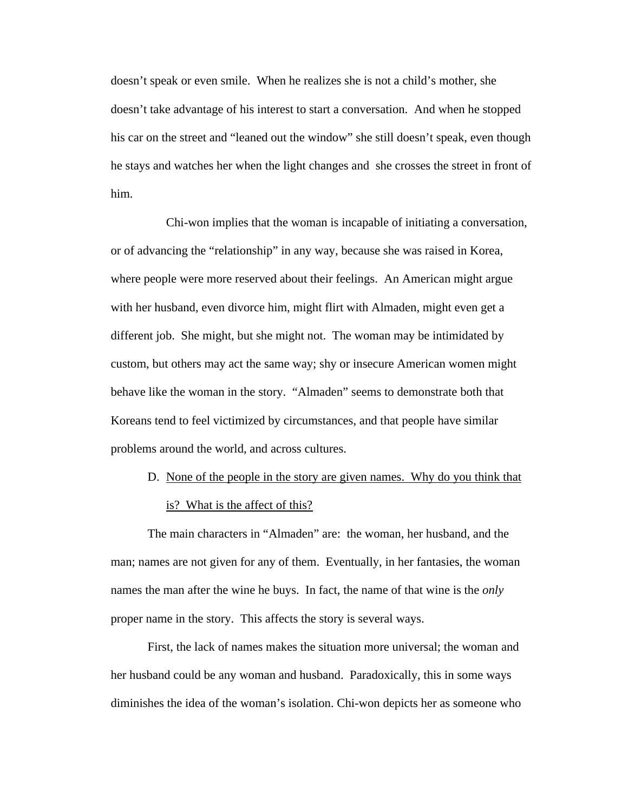doesn't speak or even smile. When he realizes she is not a child's mother, she doesn't take advantage of his interest to start a conversation. And when he stopped his car on the street and "leaned out the window" she still doesn't speak, even though he stays and watches her when the light changes and she crosses the street in front of him.

Chi-won implies that the woman is incapable of initiating a conversation, or of advancing the "relationship" in any way, because she was raised in Korea, where people were more reserved about their feelings. An American might argue with her husband, even divorce him, might flirt with Almaden, might even get a different job. She might, but she might not. The woman may be intimidated by custom, but others may act the same way; shy or insecure American women might behave like the woman in the story. "Almaden" seems to demonstrate both that Koreans tend to feel victimized by circumstances, and that people have similar problems around the world, and across cultures.

D. None of the people in the story are given names. Why do you think that is? What is the affect of this?

The main characters in "Almaden" are: the woman, her husband, and the man; names are not given for any of them. Eventually, in her fantasies, the woman names the man after the wine he buys. In fact, the name of that wine is the *only* proper name in the story. This affects the story is several ways.

First, the lack of names makes the situation more universal; the woman and her husband could be any woman and husband. Paradoxically, this in some ways diminishes the idea of the woman's isolation. Chi-won depicts her as someone who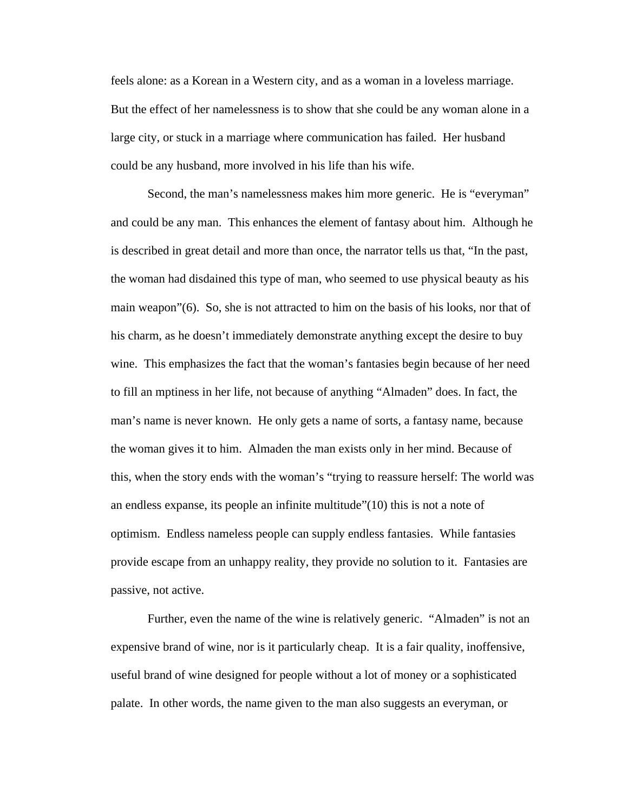feels alone: as a Korean in a Western city, and as a woman in a loveless marriage. But the effect of her namelessness is to show that she could be any woman alone in a large city, or stuck in a marriage where communication has failed. Her husband could be any husband, more involved in his life than his wife.

Second, the man's namelessness makes him more generic. He is "everyman" and could be any man. This enhances the element of fantasy about him. Although he is described in great detail and more than once, the narrator tells us that, "In the past, the woman had disdained this type of man, who seemed to use physical beauty as his main weapon"(6). So, she is not attracted to him on the basis of his looks, nor that of his charm, as he doesn't immediately demonstrate anything except the desire to buy wine. This emphasizes the fact that the woman's fantasies begin because of her need to fill an mptiness in her life, not because of anything "Almaden" does. In fact, the man's name is never known. He only gets a name of sorts, a fantasy name, because the woman gives it to him. Almaden the man exists only in her mind. Because of this, when the story ends with the woman's "trying to reassure herself: The world was an endless expanse, its people an infinite multitude"(10) this is not a note of optimism. Endless nameless people can supply endless fantasies. While fantasies provide escape from an unhappy reality, they provide no solution to it. Fantasies are passive, not active.

Further, even the name of the wine is relatively generic. "Almaden" is not an expensive brand of wine, nor is it particularly cheap. It is a fair quality, inoffensive, useful brand of wine designed for people without a lot of money or a sophisticated palate. In other words, the name given to the man also suggests an everyman, or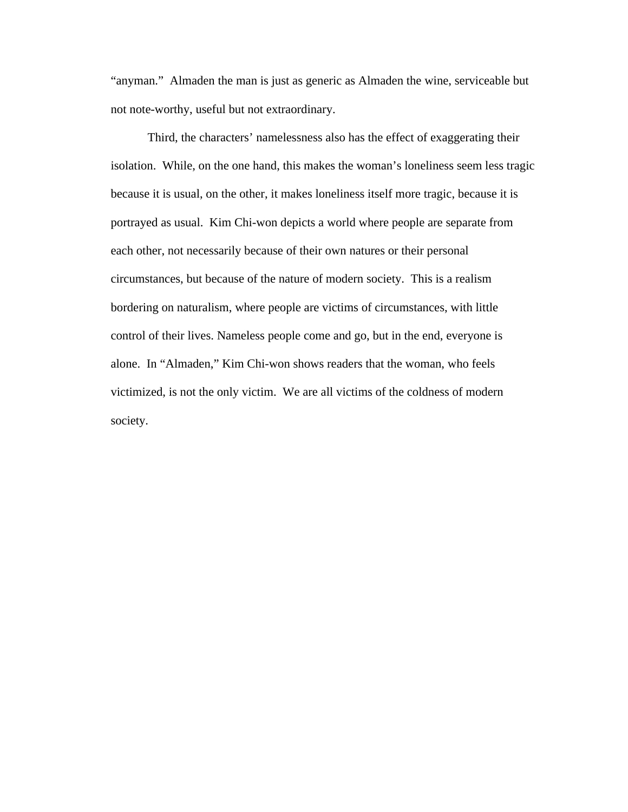"anyman." Almaden the man is just as generic as Almaden the wine, serviceable but not note-worthy, useful but not extraordinary.

Third, the characters' namelessness also has the effect of exaggerating their isolation. While, on the one hand, this makes the woman's loneliness seem less tragic because it is usual, on the other, it makes loneliness itself more tragic, because it is portrayed as usual. Kim Chi-won depicts a world where people are separate from each other, not necessarily because of their own natures or their personal circumstances, but because of the nature of modern society. This is a realism bordering on naturalism, where people are victims of circumstances, with little control of their lives. Nameless people come and go, but in the end, everyone is alone. In "Almaden," Kim Chi-won shows readers that the woman, who feels victimized, is not the only victim. We are all victims of the coldness of modern society.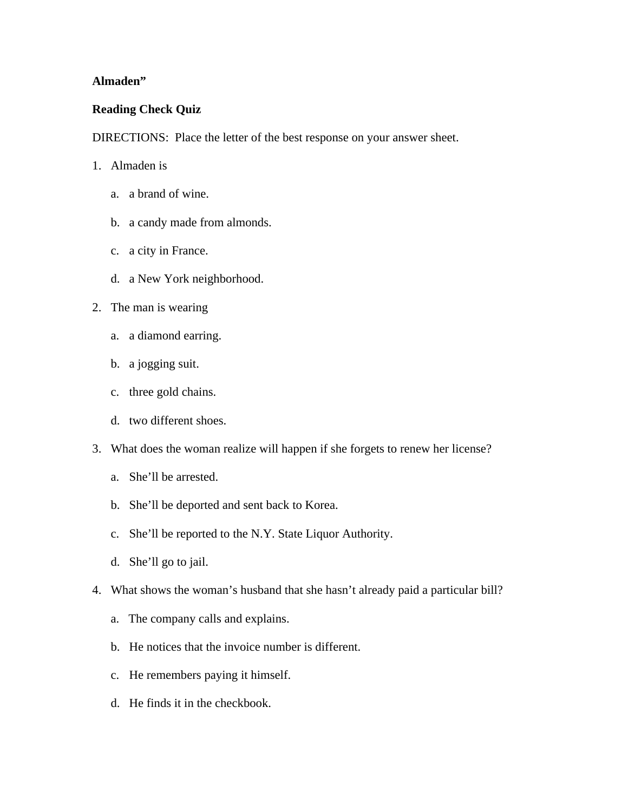# **Almaden"**

# **Reading Check Quiz**

DIRECTIONS: Place the letter of the best response on your answer sheet.

- 1. Almaden is
	- a. a brand of wine.
	- b. a candy made from almonds.
	- c. a city in France.
	- d. a New York neighborhood.
- 2. The man is wearing
	- a. a diamond earring.
	- b. a jogging suit.
	- c. three gold chains.
	- d. two different shoes.
- 3. What does the woman realize will happen if she forgets to renew her license?
	- a. She'll be arrested.
	- b. She'll be deported and sent back to Korea.
	- c. She'll be reported to the N.Y. State Liquor Authority.
	- d. She'll go to jail.
- 4. What shows the woman's husband that she hasn't already paid a particular bill?
	- a. The company calls and explains.
	- b. He notices that the invoice number is different.
	- c. He remembers paying it himself.
	- d. He finds it in the checkbook.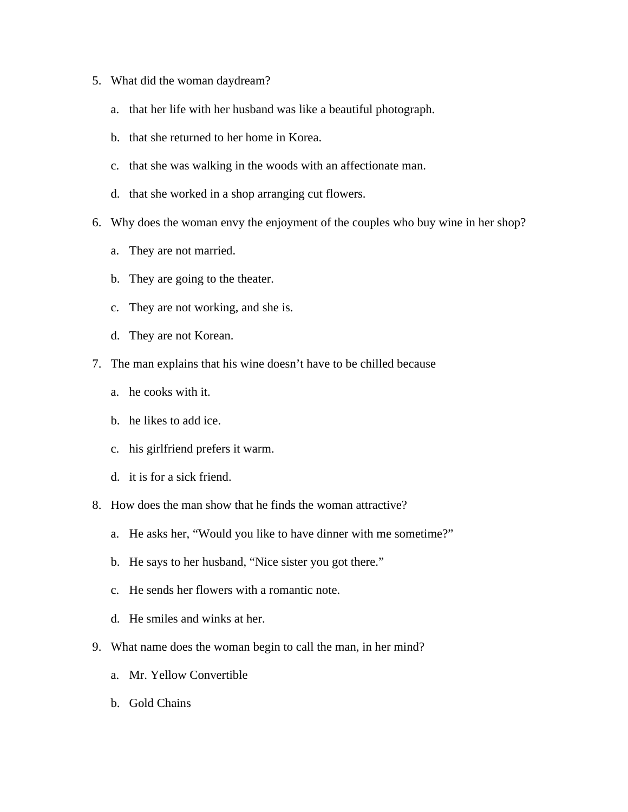- 5. What did the woman daydream?
	- a. that her life with her husband was like a beautiful photograph.
	- b. that she returned to her home in Korea.
	- c. that she was walking in the woods with an affectionate man.
	- d. that she worked in a shop arranging cut flowers.
- 6. Why does the woman envy the enjoyment of the couples who buy wine in her shop?
	- a. They are not married.
	- b. They are going to the theater.
	- c. They are not working, and she is.
	- d. They are not Korean.
- 7. The man explains that his wine doesn't have to be chilled because
	- a. he cooks with it.
	- b. he likes to add ice.
	- c. his girlfriend prefers it warm.
	- d. it is for a sick friend.
- 8. How does the man show that he finds the woman attractive?
	- a. He asks her, "Would you like to have dinner with me sometime?"
	- b. He says to her husband, "Nice sister you got there."
	- c. He sends her flowers with a romantic note.
	- d. He smiles and winks at her.
- 9. What name does the woman begin to call the man, in her mind?
	- a. Mr. Yellow Convertible
	- b. Gold Chains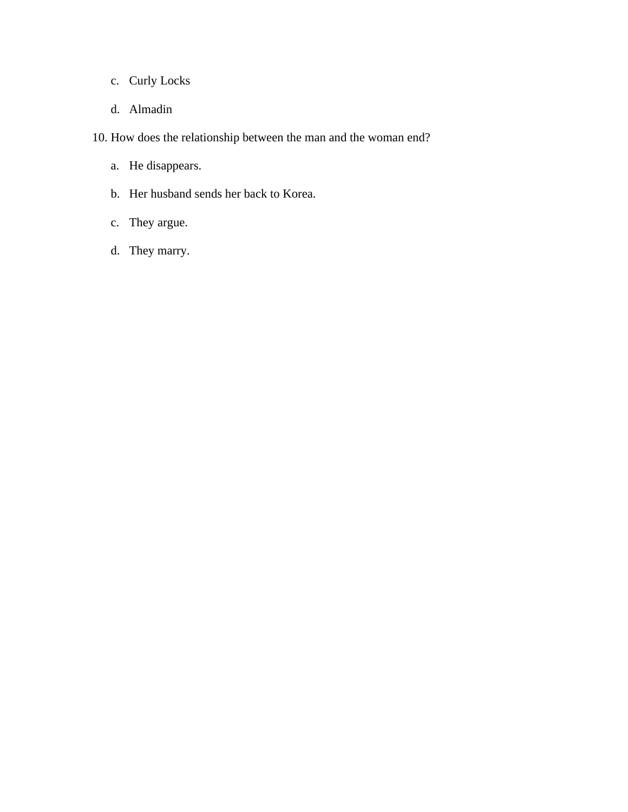- c. Curly Locks
- d. Almadin

10. How does the relationship between the man and the woman end?

- a. He disappears.
- b. Her husband sends her back to Korea.
- c. They argue.
- d. They marry.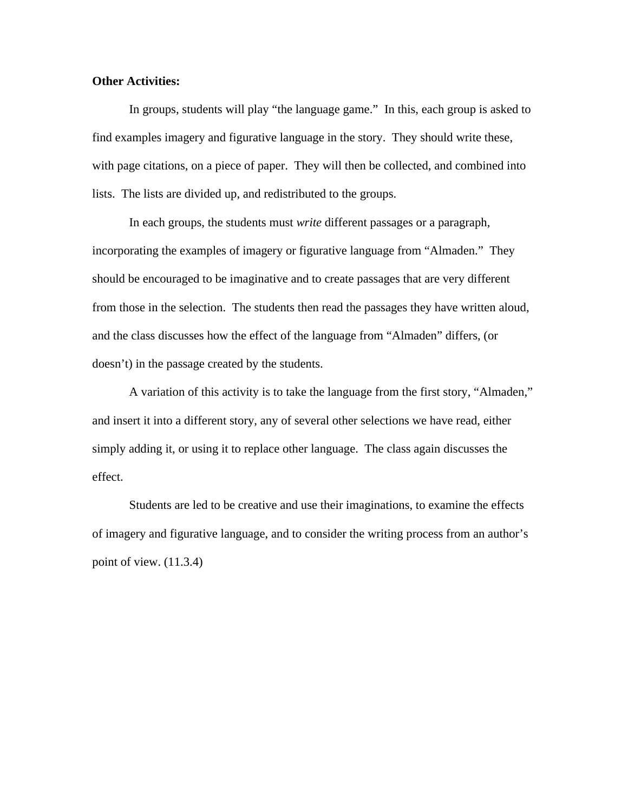#### **Other Activities:**

In groups, students will play "the language game." In this, each group is asked to find examples imagery and figurative language in the story. They should write these, with page citations, on a piece of paper. They will then be collected, and combined into lists. The lists are divided up, and redistributed to the groups.

In each groups, the students must *write* different passages or a paragraph, incorporating the examples of imagery or figurative language from "Almaden." They should be encouraged to be imaginative and to create passages that are very different from those in the selection. The students then read the passages they have written aloud, and the class discusses how the effect of the language from "Almaden" differs, (or doesn't) in the passage created by the students.

A variation of this activity is to take the language from the first story, "Almaden," and insert it into a different story, any of several other selections we have read, either simply adding it, or using it to replace other language. The class again discusses the effect.

Students are led to be creative and use their imaginations, to examine the effects of imagery and figurative language, and to consider the writing process from an author's point of view. (11.3.4)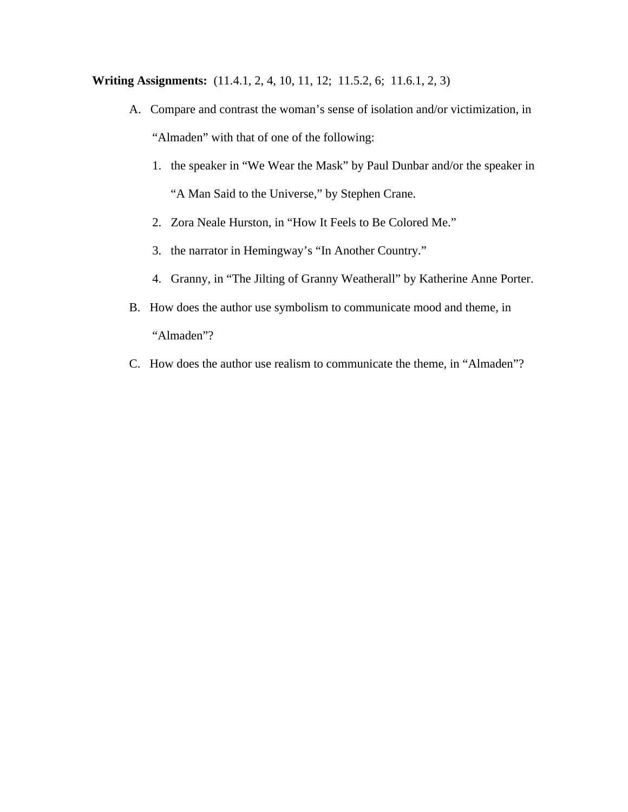**Writing Assignments:** (11.4.1, 2, 4, 10, 11, 12; 11.5.2, 6; 11.6.1, 2, 3)

- A. Compare and contrast the woman's sense of isolation and/or victimization, in "Almaden" with that of one of the following:
	- 1. the speaker in "We Wear the Mask" by Paul Dunbar and/or the speaker in "A Man Said to the Universe," by Stephen Crane.
	- 2. Zora Neale Hurston, in "How It Feels to Be Colored Me."
	- 3. the narrator in Hemingway's "In Another Country."
	- 4. Granny, in "The Jilting of Granny Weatherall" by Katherine Anne Porter.
- B. How does the author use symbolism to communicate mood and theme, in "Almaden"?
- C. How does the author use realism to communicate the theme, in "Almaden"?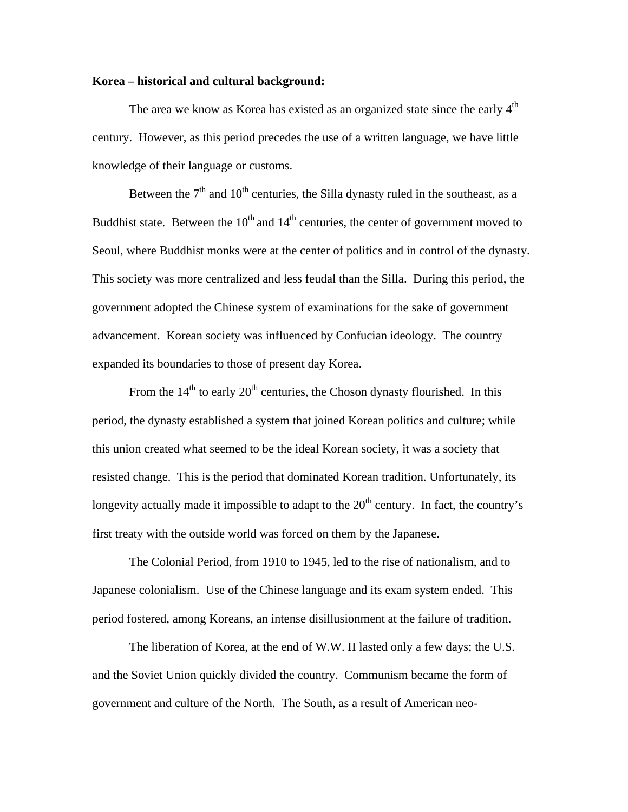#### **Korea – historical and cultural background:**

The area we know as Korea has existed as an organized state since the early  $4<sup>th</sup>$ century. However, as this period precedes the use of a written language, we have little knowledge of their language or customs.

Between the  $7<sup>th</sup>$  and  $10<sup>th</sup>$  centuries, the Silla dynasty ruled in the southeast, as a Buddhist state. Between the  $10^{th}$  and  $14^{th}$  centuries, the center of government moved to Seoul, where Buddhist monks were at the center of politics and in control of the dynasty. This society was more centralized and less feudal than the Silla. During this period, the government adopted the Chinese system of examinations for the sake of government advancement. Korean society was influenced by Confucian ideology. The country expanded its boundaries to those of present day Korea.

From the  $14<sup>th</sup>$  to early  $20<sup>th</sup>$  centuries, the Choson dynasty flourished. In this period, the dynasty established a system that joined Korean politics and culture; while this union created what seemed to be the ideal Korean society, it was a society that resisted change. This is the period that dominated Korean tradition. Unfortunately, its longevity actually made it impossible to adapt to the  $20<sup>th</sup>$  century. In fact, the country's first treaty with the outside world was forced on them by the Japanese.

The Colonial Period, from 1910 to 1945, led to the rise of nationalism, and to Japanese colonialism. Use of the Chinese language and its exam system ended. This period fostered, among Koreans, an intense disillusionment at the failure of tradition.

The liberation of Korea, at the end of W.W. II lasted only a few days; the U.S. and the Soviet Union quickly divided the country. Communism became the form of government and culture of the North. The South, as a result of American neo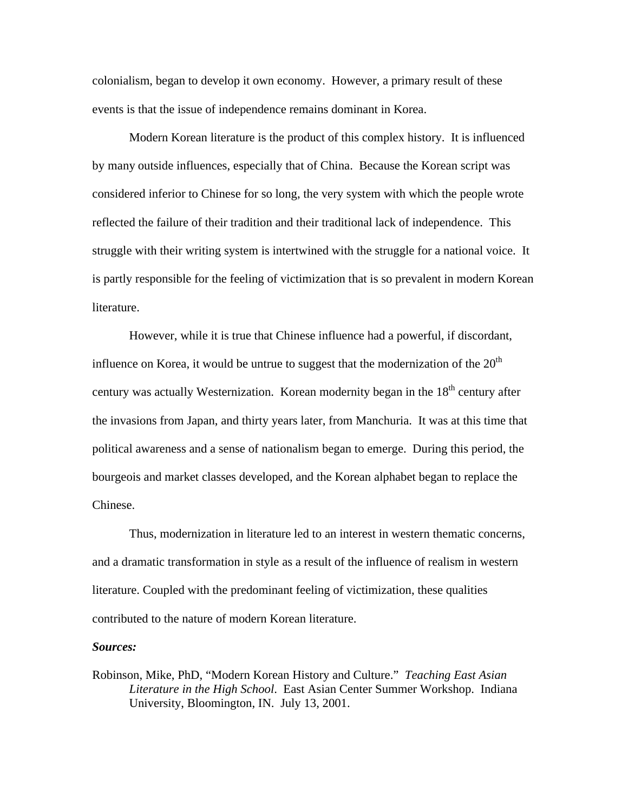colonialism, began to develop it own economy. However, a primary result of these events is that the issue of independence remains dominant in Korea.

Modern Korean literature is the product of this complex history. It is influenced by many outside influences, especially that of China. Because the Korean script was considered inferior to Chinese for so long, the very system with which the people wrote reflected the failure of their tradition and their traditional lack of independence. This struggle with their writing system is intertwined with the struggle for a national voice. It is partly responsible for the feeling of victimization that is so prevalent in modern Korean literature.

However, while it is true that Chinese influence had a powerful, if discordant, influence on Korea, it would be untrue to suggest that the modernization of the  $20<sup>th</sup>$ century was actually Westernization. Korean modernity began in the  $18<sup>th</sup>$  century after the invasions from Japan, and thirty years later, from Manchuria. It was at this time that political awareness and a sense of nationalism began to emerge. During this period, the bourgeois and market classes developed, and the Korean alphabet began to replace the Chinese.

Thus, modernization in literature led to an interest in western thematic concerns, and a dramatic transformation in style as a result of the influence of realism in western literature. Coupled with the predominant feeling of victimization, these qualities contributed to the nature of modern Korean literature.

#### *Sources:*

Robinson, Mike, PhD, "Modern Korean History and Culture." *Teaching East Asian Literature in the High School*. East Asian Center Summer Workshop. Indiana University, Bloomington, IN. July 13, 2001.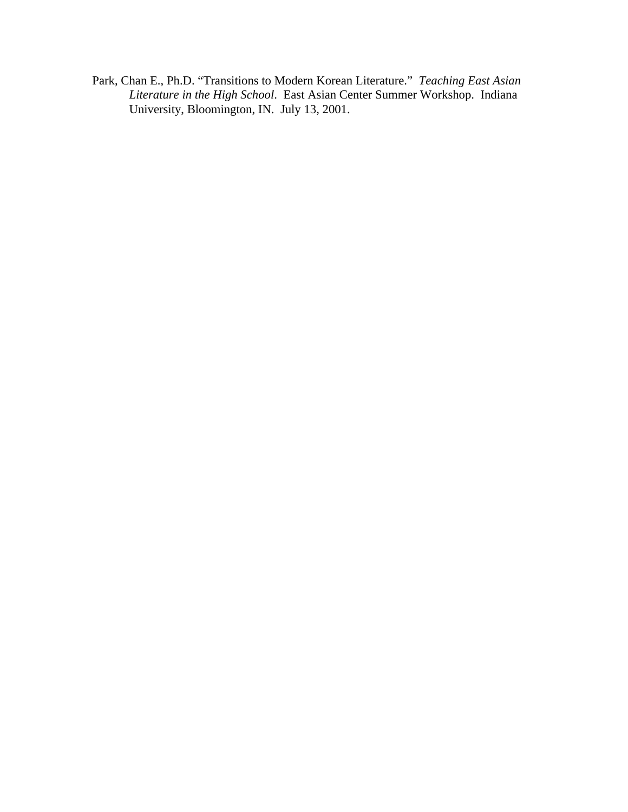Park, Chan E., Ph.D. "Transitions to Modern Korean Literature." *Teaching East Asian Literature in the High School*. East Asian Center Summer Workshop. Indiana University, Bloomington, IN. July 13, 2001.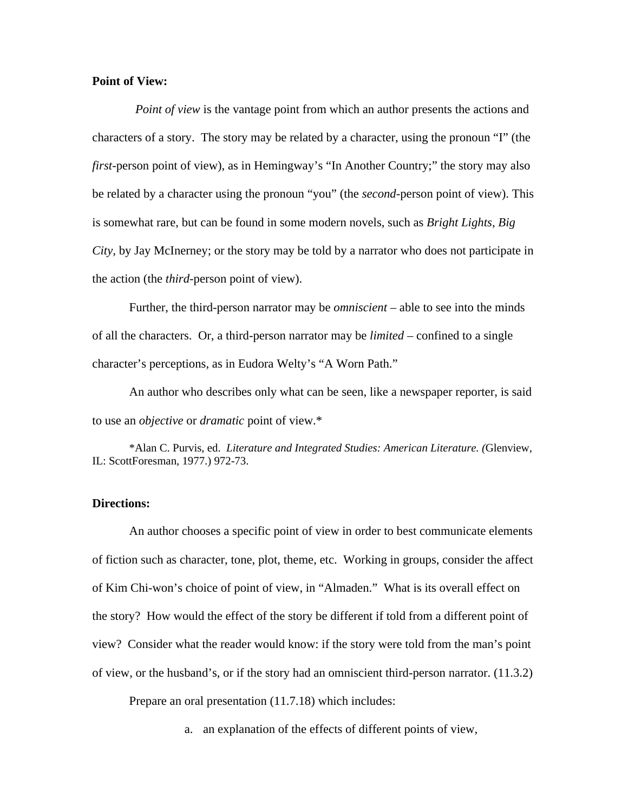# **Point of View:**

*Point of view* is the vantage point from which an author presents the actions and characters of a story. The story may be related by a character, using the pronoun "I" (the *first*-person point of view), as in Hemingway's "In Another Country;" the story may also be related by a character using the pronoun "you" (the *second-*person point of view). This is somewhat rare, but can be found in some modern novels, such as *Bright Lights, Big City,* by Jay McInerney; or the story may be told by a narrator who does not participate in the action (the *third*-person point of view).

Further, the third-person narrator may be *omniscient* – able to see into the minds of all the characters. Or, a third-person narrator may be *limited* – confined to a single character's perceptions, as in Eudora Welty's "A Worn Path."

An author who describes only what can be seen, like a newspaper reporter, is said to use an *objective* or *dramatic* point of view.\*

\*Alan C. Purvis, ed. *Literature and Integrated Studies: American Literature. (*Glenview, IL: ScottForesman, 1977.) 972-73.

## **Directions:**

An author chooses a specific point of view in order to best communicate elements of fiction such as character, tone, plot, theme, etc. Working in groups, consider the affect of Kim Chi-won's choice of point of view, in "Almaden." What is its overall effect on the story? How would the effect of the story be different if told from a different point of view? Consider what the reader would know: if the story were told from the man's point of view, or the husband's, or if the story had an omniscient third-person narrator. (11.3.2)

Prepare an oral presentation (11.7.18) which includes:

a. an explanation of the effects of different points of view,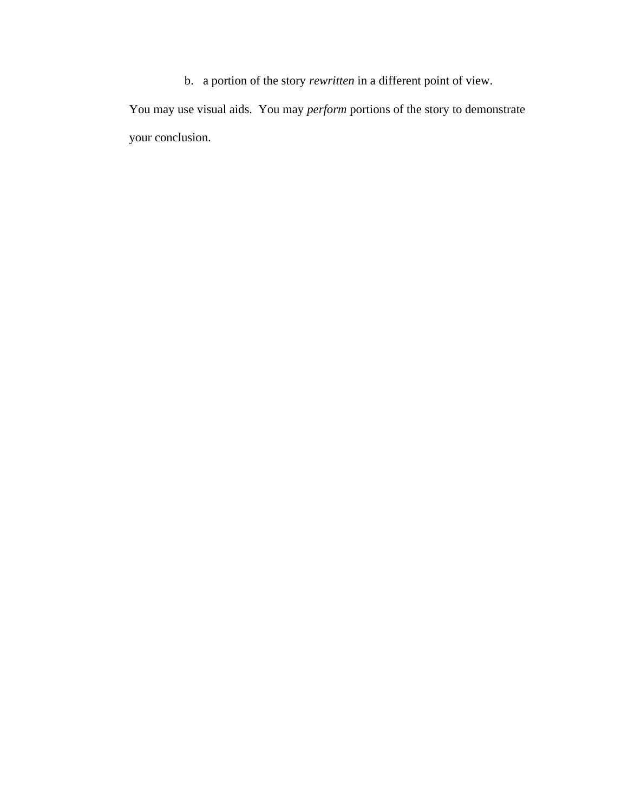b. a portion of the story *rewritten* in a different point of view.

You may use visual aids. You may *perform* portions of the story to demonstrate your conclusion.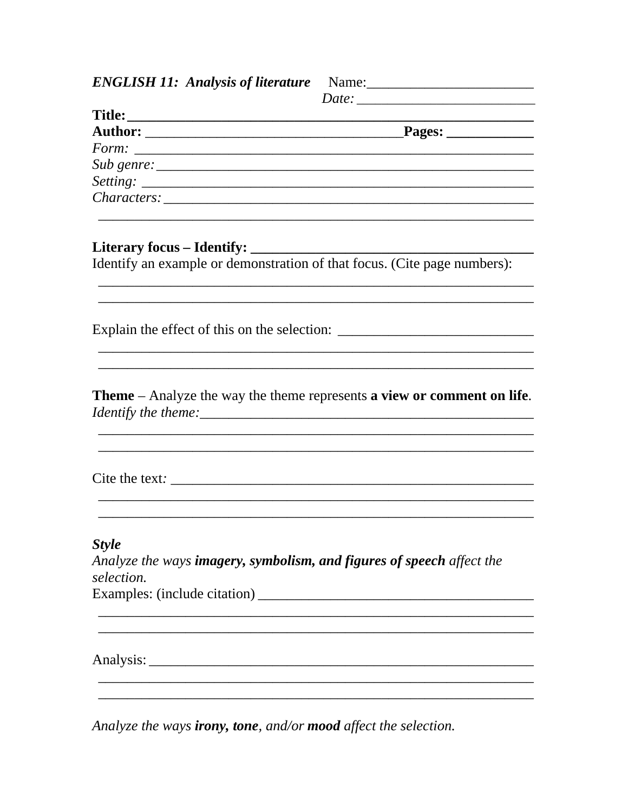$Date:$ Identify an example or demonstration of that focus. (Cite page numbers): Explain the effect of this on the selection: \_\_\_\_\_\_\_\_\_\_\_\_\_\_\_\_\_\_\_\_\_\_\_\_\_\_\_\_\_\_\_\_\_\_\_ **Theme** – Analyze the way the theme represents **a view or comment on life**. **Style** Analyze the ways imagery, symbolism, and figures of speech affect the selection. Examples: (include citation) 

Analyze the ways **irony**, tone, and/or mood affect the selection.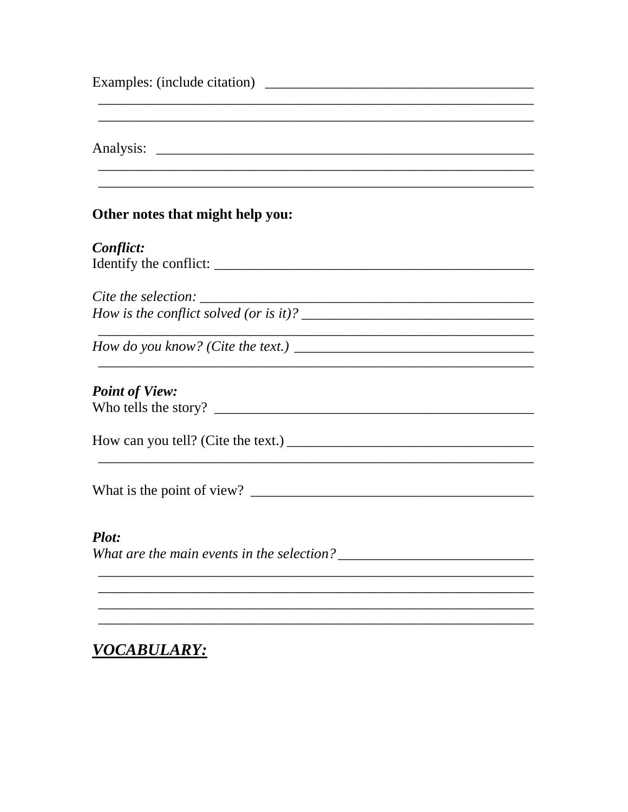| Other notes that might help you:                                      |  |
|-----------------------------------------------------------------------|--|
| Conflict:                                                             |  |
|                                                                       |  |
|                                                                       |  |
| Cite the selection: $\sqrt{\frac{1}{2} \sum_{i=1}^{n} (x_i - x_i)^2}$ |  |
|                                                                       |  |
|                                                                       |  |
|                                                                       |  |
| <b>Point of View:</b>                                                 |  |
|                                                                       |  |
|                                                                       |  |
|                                                                       |  |
|                                                                       |  |
|                                                                       |  |
|                                                                       |  |
| <b>Plot:</b>                                                          |  |
|                                                                       |  |
|                                                                       |  |
|                                                                       |  |
|                                                                       |  |

# VOCABULARY: